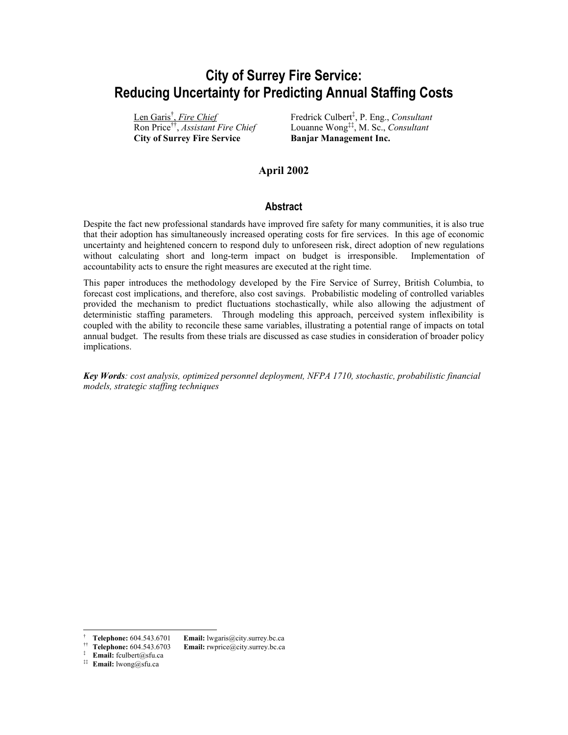# **City of Surrey Fire Service: Reducing Uncertainty for Predicting Annual Staffing Costs**

Len Gari[s†](#page-0-0) , *Fire Chief* Ron Price[††,](#page-0-1) *Assistant Fire Chief* **City of Surrey Fire Service Banjar Management Inc.** 

Fredrick Culbert[‡](#page-0-2) , P. Eng., *Consultant* Louanne Wong[‡‡,](#page-0-3) M. Sc., *Consultant*

### **April 2002**

#### **Abstract**

Despite the fact new professional standards have improved fire safety for many communities, it is also true that their adoption has simultaneously increased operating costs for fire services. In this age of economic uncertainty and heightened concern to respond duly to unforeseen risk, direct adoption of new regulations without calculating short and long-term impact on budget is irresponsible. Implementation of accountability acts to ensure the right measures are executed at the right time.

This paper introduces the methodology developed by the Fire Service of Surrey, British Columbia, to forecast cost implications, and therefore, also cost savings. Probabilistic modeling of controlled variables provided the mechanism to predict fluctuations stochastically, while also allowing the adjustment of deterministic staffing parameters. Through modeling this approach, perceived system inflexibility is coupled with the ability to reconcile these same variables, illustrating a potential range of impacts on total annual budget. The results from these trials are discussed as case studies in consideration of broader policy implications.

*Key Words: cost analysis, optimized personnel deployment, NFPA 1710, stochastic, probabilistic financial models, strategic staffing techniques*

<span id="page-0-2"></span>‡ **Email:** fculbert@sfu.ca

 $\overline{a}$ 

<span id="page-0-1"></span><span id="page-0-0"></span>

<sup>†</sup> **Telephone:** 604.543.6701 **Email:** lwgaris@city.surrey.bc.ca †† **Telephone:** 604.543.6703 **Email:** rwprice@city.surrey.bc.ca

<span id="page-0-3"></span><sup>‡‡</sup> **Email:** lwong@sfu.ca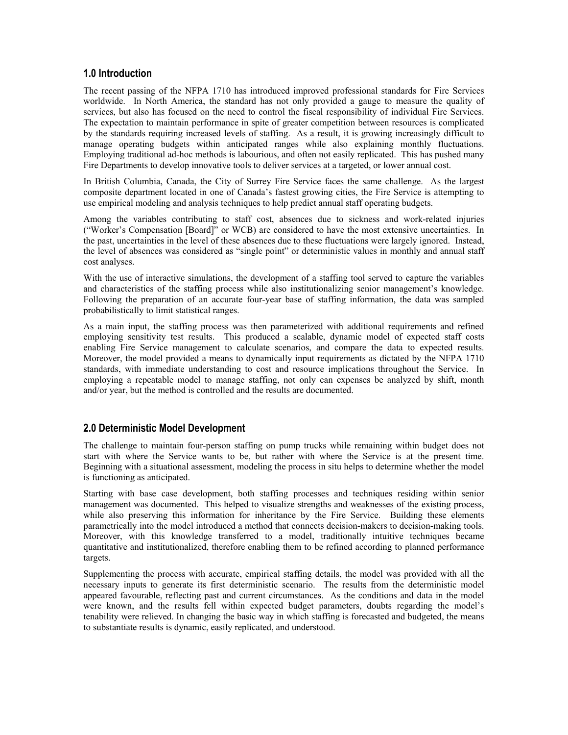### **1.0 Introduction**

The recent passing of the NFPA 1710 has introduced improved professional standards for Fire Services worldwide. In North America, the standard has not only provided a gauge to measure the quality of services, but also has focused on the need to control the fiscal responsibility of individual Fire Services. The expectation to maintain performance in spite of greater competition between resources is complicated by the standards requiring increased levels of staffing. As a result, it is growing increasingly difficult to manage operating budgets within anticipated ranges while also explaining monthly fluctuations. Employing traditional ad-hoc methods is labourious, and often not easily replicated. This has pushed many Fire Departments to develop innovative tools to deliver services at a targeted, or lower annual cost.

In British Columbia, Canada, the City of Surrey Fire Service faces the same challenge. As the largest composite department located in one of Canada's fastest growing cities, the Fire Service is attempting to use empirical modeling and analysis techniques to help predict annual staff operating budgets.

Among the variables contributing to staff cost, absences due to sickness and work-related injuries ("Worker's Compensation [Board]" or WCB) are considered to have the most extensive uncertainties. In the past, uncertainties in the level of these absences due to these fluctuations were largely ignored. Instead, the level of absences was considered as "single point" or deterministic values in monthly and annual staff cost analyses.

With the use of interactive simulations, the development of a staffing tool served to capture the variables and characteristics of the staffing process while also institutionalizing senior management's knowledge. Following the preparation of an accurate four-year base of staffing information, the data was sampled probabilistically to limit statistical ranges.

As a main input, the staffing process was then parameterized with additional requirements and refined employing sensitivity test results. This produced a scalable, dynamic model of expected staff costs enabling Fire Service management to calculate scenarios, and compare the data to expected results. Moreover, the model provided a means to dynamically input requirements as dictated by the NFPA 1710 standards, with immediate understanding to cost and resource implications throughout the Service. In employing a repeatable model to manage staffing, not only can expenses be analyzed by shift, month and/or year, but the method is controlled and the results are documented.

### **2.0 Deterministic Model Development**

The challenge to maintain four-person staffing on pump trucks while remaining within budget does not start with where the Service wants to be, but rather with where the Service is at the present time. Beginning with a situational assessment, modeling the process in situ helps to determine whether the model is functioning as anticipated.

Starting with base case development, both staffing processes and techniques residing within senior management was documented. This helped to visualize strengths and weaknesses of the existing process, while also preserving this information for inheritance by the Fire Service. Building these elements parametrically into the model introduced a method that connects decision-makers to decision-making tools. Moreover, with this knowledge transferred to a model, traditionally intuitive techniques became quantitative and institutionalized, therefore enabling them to be refined according to planned performance targets.

Supplementing the process with accurate, empirical staffing details, the model was provided with all the necessary inputs to generate its first deterministic scenario. The results from the deterministic model appeared favourable, reflecting past and current circumstances. As the conditions and data in the model were known, and the results fell within expected budget parameters, doubts regarding the model's tenability were relieved. In changing the basic way in which staffing is forecasted and budgeted, the means to substantiate results is dynamic, easily replicated, and understood.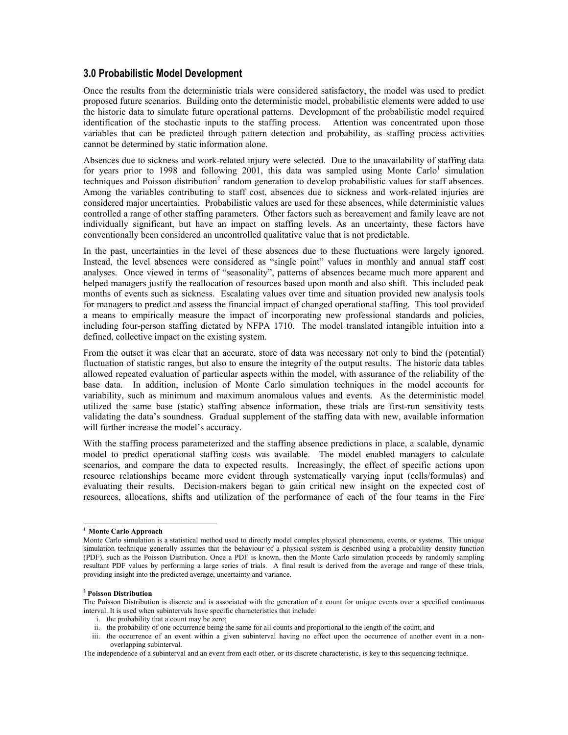#### **3.0 Probabilistic Model Development**

Once the results from the deterministic trials were considered satisfactory, the model was used to predict proposed future scenarios. Building onto the deterministic model, probabilistic elements were added to use the historic data to simulate future operational patterns. Development of the probabilistic model required identification of the stochastic inputs to the staffing process. Attention was concentrated upon those variables that can be predicted through pattern detection and probability, as staffing process activities cannot be determined by static information alone.

Absences due to sickness and work-related injury were selected. Due to the unavailability of staffing data for years prior to 1998 and following 2001, this data was sampled using Monte Carlo<sup>1</sup> simulation techniques and Poisson distribution<sup>2</sup> random generation to develop probabilistic values for staff absences. Among the variables contributing to staff cost, absences due to sickness and work-related injuries are considered major uncertainties. Probabilistic values are used for these absences, while deterministic values controlled a range of other staffing parameters. Other factors such as bereavement and family leave are not individually significant, but have an impact on staffing levels. As an uncertainty, these factors have conventionally been considered an uncontrolled qualitative value that is not predictable.

In the past, uncertainties in the level of these absences due to these fluctuations were largely ignored. Instead, the level absences were considered as "single point" values in monthly and annual staff cost analyses. Once viewed in terms of "seasonality", patterns of absences became much more apparent and helped managers justify the reallocation of resources based upon month and also shift. This included peak months of events such as sickness. Escalating values over time and situation provided new analysis tools for managers to predict and assess the financial impact of changed operational staffing. This tool provided a means to empirically measure the impact of incorporating new professional standards and policies, including four-person staffing dictated by NFPA 1710. The model translated intangible intuition into a defined, collective impact on the existing system.

From the outset it was clear that an accurate, store of data was necessary not only to bind the (potential) fluctuation of statistic ranges, but also to ensure the integrity of the output results. The historic data tables allowed repeated evaluation of particular aspects within the model, with assurance of the reliability of the base data. In addition, inclusion of Monte Carlo simulation techniques in the model accounts for variability, such as minimum and maximum anomalous values and events. As the deterministic model utilized the same base (static) staffing absence information, these trials are first-run sensitivity tests validating the data's soundness. Gradual supplement of the staffing data with new, available information will further increase the model's accuracy.

With the staffing process parameterized and the staffing absence predictions in place, a scalable, dynamic model to predict operational staffing costs was available. The model enabled managers to calculate scenarios, and compare the data to expected results. Increasingly, the effect of specific actions upon resource relationships became more evident through systematically varying input (cells/formulas) and evaluating their results. Decision-makers began to gain critical new insight on the expected cost of resources, allocations, shifts and utilization of the performance of each of the four teams in the Fire

 $\overline{a}$ 

- i. the probability that a count may be zero;
- ii. the probability of one occurrence being the same for all counts and proportional to the length of the count; and

<span id="page-2-0"></span><sup>1</sup> **Monte Carlo Approach** 

Monte Carlo simulation is a statistical method used to directly model complex physical phenomena, events, or systems. This unique simulation technique generally assumes that the behaviour of a physical system is described using a probability density function (PDF), such as the Poisson Distribution. Once a PDF is known, then the Monte Carlo simulation proceeds by randomly sampling resultant PDF values by performing a large series of trials. A final result is derived from the average and range of these trials, providing insight into the predicted average, uncertainty and variance.

<span id="page-2-1"></span>**<sup>2</sup> Poisson Distribution** 

The Poisson Distribution is discrete and is associated with the generation of a count for unique events over a specified continuous interval. It is used when subintervals have specific characteristics that include:

iii. the occurrence of an event within a given subinterval having no effect upon the occurrence of another event in a nonoverlapping subinterval.

The independence of a subinterval and an event from each other, or its discrete characteristic, is key to this sequencing technique.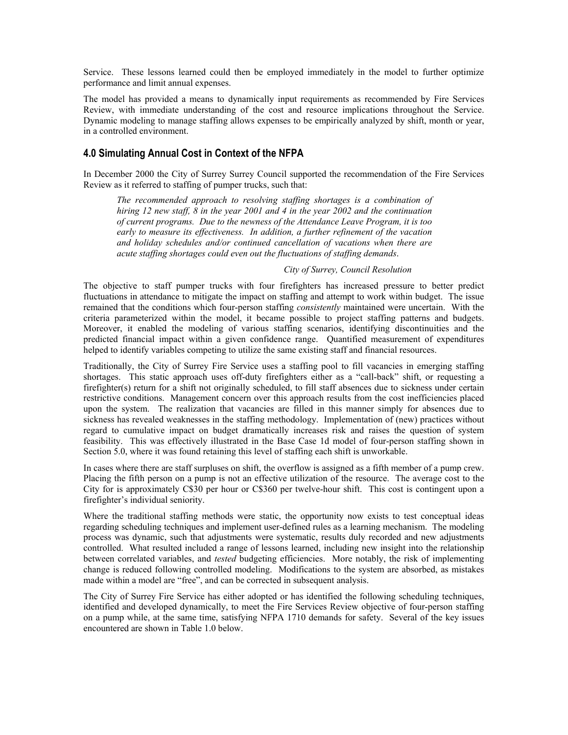Service. These lessons learned could then be employed immediately in the model to further optimize performance and limit annual expenses.

The model has provided a means to dynamically input requirements as recommended by Fire Services Review, with immediate understanding of the cost and resource implications throughout the Service. Dynamic modeling to manage staffing allows expenses to be empirically analyzed by shift, month or year, in a controlled environment.

### **4.0 Simulating Annual Cost in Context of the NFPA**

In December 2000 the City of Surrey Surrey Council supported the recommendation of the Fire Services Review as it referred to staffing of pumper trucks, such that:

*The recommended approach to resolving staffing shortages is a combination of hiring 12 new staff, 8 in the year 2001 and 4 in the year 2002 and the continuation of current programs. Due to the newness of the Attendance Leave Program, it is too early to measure its effectiveness. In addition, a further refinement of the vacation and holiday schedules and/or continued cancellation of vacations when there are acute staffing shortages could even out the fluctuations of staffing demands*.

#### *City of Surrey, Council Resolution*

The objective to staff pumper trucks with four firefighters has increased pressure to better predict fluctuations in attendance to mitigate the impact on staffing and attempt to work within budget. The issue remained that the conditions which four-person staffing *consistently* maintained were uncertain. With the criteria parameterized within the model, it became possible to project staffing patterns and budgets. Moreover, it enabled the modeling of various staffing scenarios, identifying discontinuities and the predicted financial impact within a given confidence range. Quantified measurement of expenditures helped to identify variables competing to utilize the same existing staff and financial resources.

Traditionally, the City of Surrey Fire Service uses a staffing pool to fill vacancies in emerging staffing shortages. This static approach uses off-duty firefighters either as a "call-back" shift, or requesting a firefighter(s) return for a shift not originally scheduled, to fill staff absences due to sickness under certain restrictive conditions. Management concern over this approach results from the cost inefficiencies placed upon the system. The realization that vacancies are filled in this manner simply for absences due to sickness has revealed weaknesses in the staffing methodology. Implementation of (new) practices without regard to cumulative impact on budget dramatically increases risk and raises the question of system feasibility. This was effectively illustrated in the Base Case 1d model of four-person staffing shown in Section 5.0, where it was found retaining this level of staffing each shift is unworkable.

In cases where there are staff surpluses on shift, the overflow is assigned as a fifth member of a pump crew. Placing the fifth person on a pump is not an effective utilization of the resource. The average cost to the City for is approximately C\$30 per hour or C\$360 per twelve-hour shift. This cost is contingent upon a firefighter's individual seniority.

Where the traditional staffing methods were static, the opportunity now exists to test conceptual ideas regarding scheduling techniques and implement user-defined rules as a learning mechanism. The modeling process was dynamic, such that adjustments were systematic, results duly recorded and new adjustments controlled. What resulted included a range of lessons learned, including new insight into the relationship between correlated variables, and *tested* budgeting efficiencies. More notably, the risk of implementing change is reduced following controlled modeling. Modifications to the system are absorbed, as mistakes made within a model are "free", and can be corrected in subsequent analysis.

The City of Surrey Fire Service has either adopted or has identified the following scheduling techniques, identified and developed dynamically, to meet the Fire Services Review objective of four-person staffing on a pump while, at the same time, satisfying NFPA 1710 demands for safety. Several of the key issues encountered are shown in Table 1.0 below.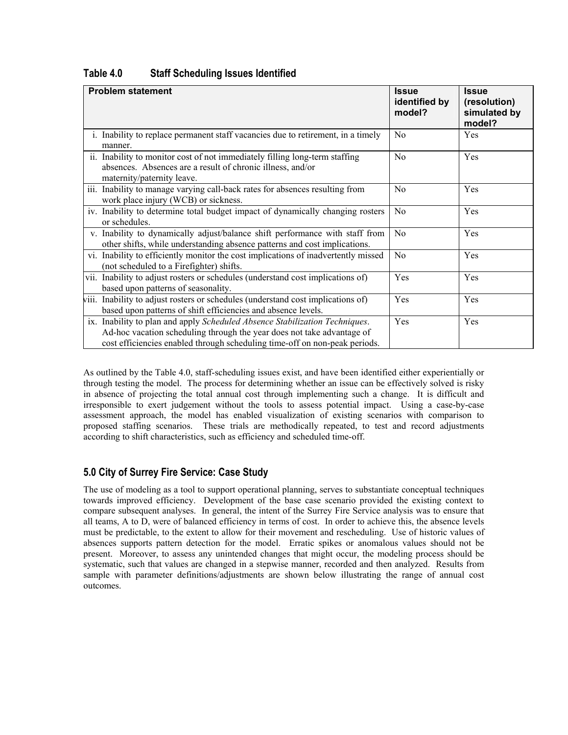| <b>Problem statement</b> |                                                                                                                                                                                                                                     | <b>Issue</b><br>identified by<br>model? | <b>Issue</b><br>(resolution)<br>simulated by<br>model? |
|--------------------------|-------------------------------------------------------------------------------------------------------------------------------------------------------------------------------------------------------------------------------------|-----------------------------------------|--------------------------------------------------------|
|                          | i. Inability to replace permanent staff vacancies due to retirement, in a timely<br>manner.                                                                                                                                         | N <sub>0</sub>                          | Yes                                                    |
|                          | ii. Inability to monitor cost of not immediately filling long-term staffing<br>absences. Absences are a result of chronic illness, and/or<br>maternity/paternity leave.                                                             | N <sub>0</sub>                          | Yes                                                    |
|                          | iii. Inability to manage varying call-back rates for absences resulting from<br>work place injury (WCB) or sickness.                                                                                                                | N <sub>0</sub>                          | Yes                                                    |
|                          | iv. Inability to determine total budget impact of dynamically changing rosters<br>or schedules.                                                                                                                                     | No                                      | Yes                                                    |
|                          | v. Inability to dynamically adjust/balance shift performance with staff from<br>other shifts, while understanding absence patterns and cost implications.                                                                           | N <sub>0</sub>                          | Yes                                                    |
|                          | vi. Inability to efficiently monitor the cost implications of inadvertently missed<br>(not scheduled to a Firefighter) shifts.                                                                                                      | N <sub>0</sub>                          | Yes                                                    |
|                          | vii. Inability to adjust rosters or schedules (understand cost implications of)<br>based upon patterns of seasonality.                                                                                                              | Yes                                     | Yes                                                    |
|                          | viii. Inability to adjust rosters or schedules (understand cost implications of)<br>based upon patterns of shift efficiencies and absence levels.                                                                                   | Yes                                     | Yes                                                    |
|                          | ix. Inability to plan and apply Scheduled Absence Stabilization Techniques.<br>Ad-hoc vacation scheduling through the year does not take advantage of<br>cost efficiencies enabled through scheduling time-off on non-peak periods. | Yes                                     | Yes                                                    |

### **Table 4.0 Staff Scheduling Issues Identified**

As outlined by the Table 4.0, staff-scheduling issues exist, and have been identified either experientially or through testing the model. The process for determining whether an issue can be effectively solved is risky in absence of projecting the total annual cost through implementing such a change. It is difficult and irresponsible to exert judgement without the tools to assess potential impact. Using a case-by-case assessment approach, the model has enabled visualization of existing scenarios with comparison to proposed staffing scenarios. These trials are methodically repeated, to test and record adjustments according to shift characteristics, such as efficiency and scheduled time-off.

# **5.0 City of Surrey Fire Service: Case Study**

The use of modeling as a tool to support operational planning, serves to substantiate conceptual techniques towards improved efficiency. Development of the base case scenario provided the existing context to compare subsequent analyses. In general, the intent of the Surrey Fire Service analysis was to ensure that all teams, A to D, were of balanced efficiency in terms of cost. In order to achieve this, the absence levels must be predictable, to the extent to allow for their movement and rescheduling. Use of historic values of absences supports pattern detection for the model. Erratic spikes or anomalous values should not be present. Moreover, to assess any unintended changes that might occur, the modeling process should be systematic, such that values are changed in a stepwise manner, recorded and then analyzed. Results from sample with parameter definitions/adjustments are shown below illustrating the range of annual cost outcomes.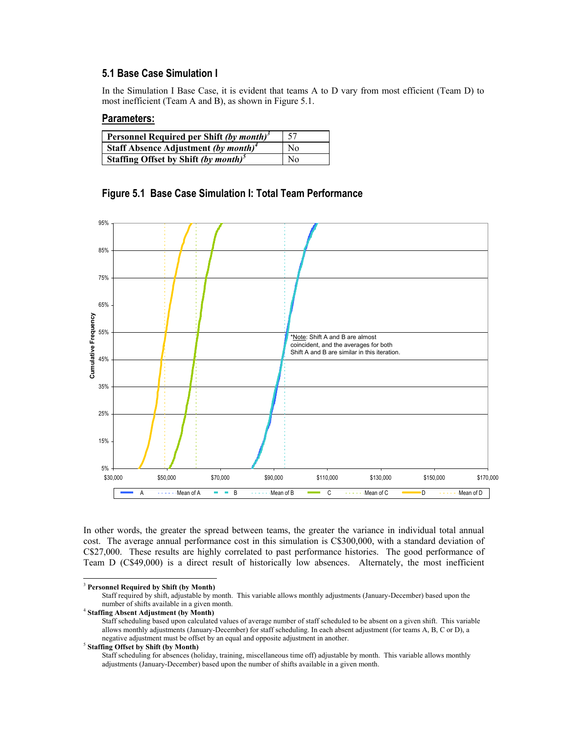### **5.1 Base Case Simulation I**

In the Simulation I Base Case, it is evident that teams A to D vary from most efficient (Team D) to most inefficient (Team A and B), as shown in Figure 5.1.

### **Parameters:**

| Personnel Required per Shift (by month) <sup>3</sup> | -57            |
|------------------------------------------------------|----------------|
| Staff Absence Adjustment (by month) <sup>4</sup>     | N <sub>0</sub> |
| Staffing Offset by Shift (by month) <sup>5</sup>     | No             |

95% 85% 75% 65% Cumulative Frequency **Cumulative Frequency** 55% \*Note: Shift A and B are almost coincident, and the averages for both Shift A and B are similar in this iteration. 45% 35% 25% 15% 5% \$30,000 \$50,000 \$70,000 \$90,000 \$110,000 \$130,000 \$150,000 \$170,000 A Mean of A B Mean of B Mean of B C Mean of C B Mean of D Mean of D



In other words, the greater the spread between teams, the greater the variance in individual total annual cost. The average annual performance cost in this simulation is C\$300,000, with a standard deviation of C\$27,000. These results are highly correlated to past performance histories. The good performance of Team D (C\$49,000) is a direct result of historically low absences. Alternately, the most inefficient

<span id="page-5-2"></span>

<span id="page-5-0"></span> <sup>3</sup> **Personnel Required by Shift (by Month)**

Staff required by shift, adjustable by month. This variable allows monthly adjustments (January-December) based upon the number of shifts available in a given month.

<span id="page-5-1"></span><sup>4</sup> **Staffing Absent Adjustment (by Month)**

Staff scheduling based upon calculated values of average number of staff scheduled to be absent on a given shift. This variable allows monthly adjustments (January-December) for staff scheduling. In each absent adjustment (for teams A, B, C or D), a negative adjustment must be offset by an equal and opposite adjustment in another. 5 **Staffing Offset by Shift (by Month)**

Staff scheduling for absences (holiday, training, miscellaneous time off) adjustable by month. This variable allows monthly adjustments (January-December) based upon the number of shifts available in a given month.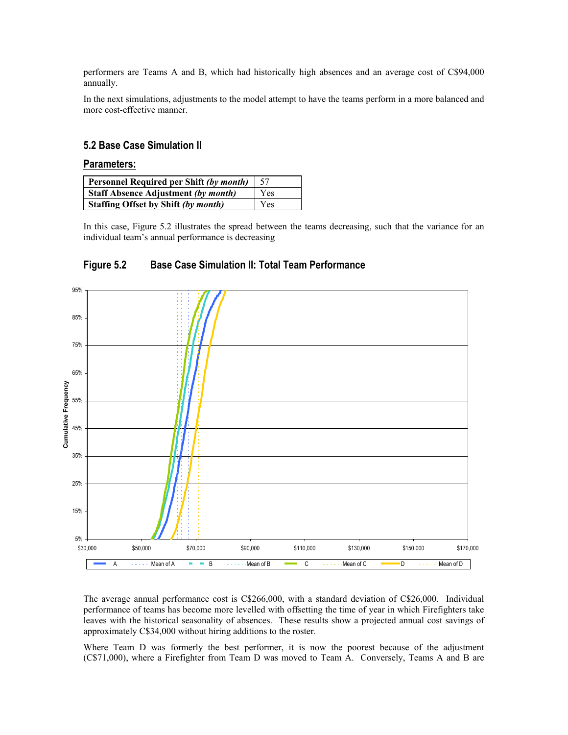performers are Teams A and B, which had historically high absences and an average cost of C\$94,000 annually.

In the next simulations, adjustments to the model attempt to have the teams perform in a more balanced and more cost-effective manner.

#### **5.2 Base Case Simulation II**

#### **Parameters:**

| Personnel Required per Shift (by month)    | 57  |
|--------------------------------------------|-----|
| <b>Staff Absence Adjustment (by month)</b> | Yes |
| <b>Staffing Offset by Shift (by month)</b> | Yes |

In this case, Figure 5.2 illustrates the spread between the teams decreasing, such that the variance for an individual team's annual performance is decreasing



# **Figure 5.2 Base Case Simulation II: Total Team Performance**

The average annual performance cost is C\$266,000, with a standard deviation of C\$26,000. Individual performance of teams has become more levelled with offsetting the time of year in which Firefighters take leaves with the historical seasonality of absences. These results show a projected annual cost savings of approximately C\$34,000 without hiring additions to the roster.

Where Team D was formerly the best performer, it is now the poorest because of the adjustment (C\$71,000), where a Firefighter from Team D was moved to Team A. Conversely, Teams A and B are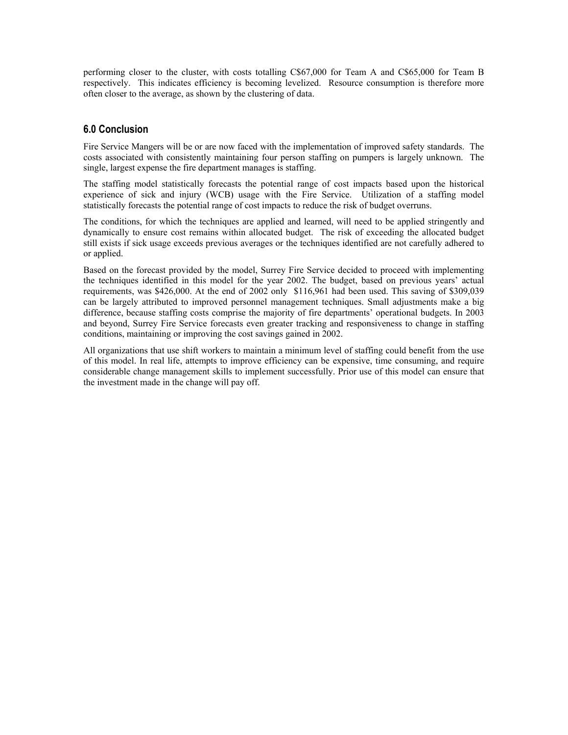performing closer to the cluster, with costs totalling C\$67,000 for Team A and C\$65,000 for Team B respectively. This indicates efficiency is becoming levelized. Resource consumption is therefore more often closer to the average, as shown by the clustering of data.

### **6.0 Conclusion**

Fire Service Mangers will be or are now faced with the implementation of improved safety standards. The costs associated with consistently maintaining four person staffing on pumpers is largely unknown. The single, largest expense the fire department manages is staffing.

The staffing model statistically forecasts the potential range of cost impacts based upon the historical experience of sick and injury (WCB) usage with the Fire Service. Utilization of a staffing model statistically forecasts the potential range of cost impacts to reduce the risk of budget overruns.

The conditions, for which the techniques are applied and learned, will need to be applied stringently and dynamically to ensure cost remains within allocated budget. The risk of exceeding the allocated budget still exists if sick usage exceeds previous averages or the techniques identified are not carefully adhered to or applied.

Based on the forecast provided by the model, Surrey Fire Service decided to proceed with implementing the techniques identified in this model for the year 2002. The budget, based on previous years' actual requirements, was \$426,000. At the end of 2002 only \$116,961 had been used. This saving of \$309,039 can be largely attributed to improved personnel management techniques. Small adjustments make a big difference, because staffing costs comprise the majority of fire departments' operational budgets. In 2003 and beyond, Surrey Fire Service forecasts even greater tracking and responsiveness to change in staffing conditions, maintaining or improving the cost savings gained in 2002.

All organizations that use shift workers to maintain a minimum level of staffing could benefit from the use of this model. In real life, attempts to improve efficiency can be expensive, time consuming, and require considerable change management skills to implement successfully. Prior use of this model can ensure that the investment made in the change will pay off.